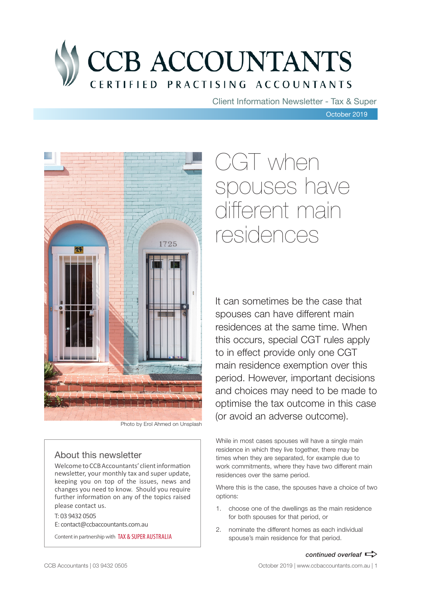

Client Information Newsletter - Tax & Super

October 2019



Photo by Erol Ahmed on Unsplash

### About this newsletter

Welcome to CCB Accountants' client information newsletter, your monthly tax and super update, keeping you on top of the issues, news and changes you need to know. Should you require further information on any of the topics raised please contact us.

T: 03 9432 0505 E: contact@ccbaccountants.com.au

Content in partnership with TAX & SUPER AUSTRALIA

# CGT when spouses have different main residences

It can sometimes be the case that spouses can have different main residences at the same time. When this occurs, special CGT rules apply to in effect provide only one CGT main residence exemption over this period. However, important decisions and choices may need to be made to optimise the tax outcome in this case (or avoid an adverse outcome).

While in most cases spouses will have a single main residence in which they live together, there may be times when they are separated, for example due to work commitments, where they have two different main residences over the same period.

Where this is the case, the spouses have a choice of two options:

- 1. choose one of the dwellings as the main residence for both spouses for that period, or
- 2. nominate the different homes as each individual spouse's main residence for that period.

*continued overleaf*  $\Rightarrow$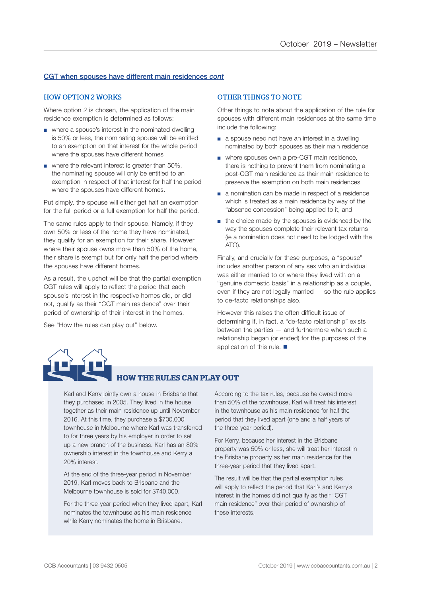### CGT when spouses have different main residences *cont*

### HOW OPTION 2 WORKS

Where option 2 is chosen, the application of the main residence exemption is determined as follows:

- where a spouse's interest in the nominated dwelling is 50% or less, the nominating spouse will be entitled to an exemption on that interest for the whole period where the spouses have different homes
- where the relevant interest is greater than 50%. the nominating spouse will only be entitled to an exemption in respect of that interest for half the period where the spouses have different homes.

Put simply, the spouse will either get half an exemption for the full period or a full exemption for half the period.

The same rules apply to their spouse. Namely, if they own 50% or less of the home they have nominated, they qualify for an exemption for their share. However where their spouse owns more than 50% of the home, their share is exempt but for only half the period where the spouses have different homes.

As a result, the upshot will be that the partial exemption CGT rules will apply to reflect the period that each spouse's interest in the respective homes did, or did not, qualify as their "CGT main residence" over their period of ownership of their interest in the homes.

See "How the rules can play out" below.

### OTHER THINGS TO NOTE

Other things to note about the application of the rule for spouses with different main residences at the same time include the following:

- a spouse need not have an interest in a dwelling nominated by both spouses as their main residence
- where spouses own a pre-CGT main residence, there is nothing to prevent them from nominating a post-CGT main residence as their main residence to preserve the exemption on both main residences
- a nomination can be made in respect of a residence which is treated as a main residence by way of the "absence concession" being applied to it, and
- the choice made by the spouses is evidenced by the way the spouses complete their relevant tax returns (ie a nomination does not need to be lodged with the ATO).

Finally, and crucially for these purposes, a "spouse" includes another person of any sex who an individual was either married to or where they lived with on a "genuine domestic basis" in a relationship as a couple, even if they are not legally married — so the rule applies to de-facto relationships also.

However this raises the often difficult issue of determining if, in fact, a "de-facto relationship" exists between the parties — and furthermore when such a relationship began (or ended) for the purposes of the application of this rule.  $\blacksquare$ 



### **HOW THE RULES CAN PLAY OUT**

Karl and Kerry jointly own a house in Brisbane that they purchased in 2005. They lived in the house together as their main residence up until November 2016. At this time, they purchase a \$700,000 townhouse in Melbourne where Karl was transferred to for three years by his employer in order to set up a new branch of the business. Karl has an 80% ownership interest in the townhouse and Kerry a 20% interest.

At the end of the three-year period in November 2019, Karl moves back to Brisbane and the Melbourne townhouse is sold for \$740,000.

For the three-year period when they lived apart, Karl nominates the townhouse as his main residence while Kerry nominates the home in Brisbane.

According to the tax rules, because he owned more than 50% of the townhouse, Karl will treat his interest in the townhouse as his main residence for half the period that they lived apart (one and a half years of the three-year period).

For Kerry, because her interest in the Brisbane property was 50% or less, she will treat her interest in the Brisbane property as her main residence for the three-year period that they lived apart.

The result will be that the partial exemption rules will apply to reflect the period that Karl's and Kerry's interest in the homes did not qualify as their "CGT main residence" over their period of ownership of these interests.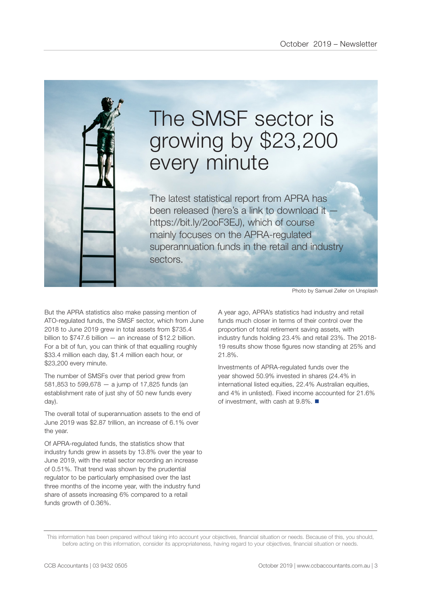

# The SMSF sector is growing by \$23,200 every minute

The latest statistical report from APRA has been released (here's a link to download it https://bit.ly/2ooF3EJ), which of course mainly focuses on the APRA-regulated superannuation funds in the retail and industry sectors.

But the APRA statistics also make passing mention of ATO-regulated funds, the SMSF sector, which from June 2018 to June 2019 grew in total assets from \$735.4 billion to \$747.6 billion — an increase of \$12.2 billion. For a bit of fun, you can think of that equalling roughly \$33.4 million each day, \$1.4 million each hour, or \$23,200 every minute.

The number of SMSFs over that period grew from 581,853 to 599,678 — a jump of 17,825 funds (an establishment rate of just shy of 50 new funds every day).

The overall total of superannuation assets to the end of June 2019 was \$2.87 trillion, an increase of 6.1% over the year.

Of APRA-regulated funds, the statistics show that industry funds grew in assets by 13.8% over the year to June 2019, with the retail sector recording an increase of 0.51%. That trend was shown by the prudential regulator to be particularly emphasised over the last three months of the income year, with the industry fund share of assets increasing 6% compared to a retail funds growth of 0.36%.

Photo by Samuel Zeller on Unsplash

A year ago, APRA's statistics had industry and retail funds much closer in terms of their control over the proportion of total retirement saving assets, with industry funds holding 23.4% and retail 23%. The 2018- 19 results show those figures now standing at 25% and 21.8%.

Investments of APRA-regulated funds over the year showed 50.9% invested in shares (24.4% in international listed equities, 22.4% Australian equities, and 4% in unlisted). Fixed income accounted for 21.6% of investment, with cash at  $9.8\%$ .

This information has been prepared without taking into account your objectives, financial situation or needs. Because of this, you should, before acting on this information, consider its appropriateness, having regard to your objectives, financial situation or needs.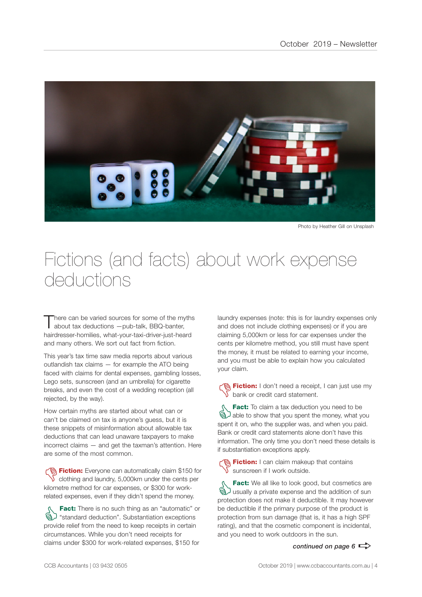

Photo by Heather Gill on Unsplash

### Fictions (and facts) about work expense deductions

here can be varied sources for some of the myths about tax deductions —pub-talk, BBQ-banter, hairdresser-homilies, what-your-taxi-driver-just-heard and many others. We sort out fact from fiction.

This year's tax time saw media reports about various outlandish tax claims — for example the ATO being faced with claims for dental expenses, gambling losses, Lego sets, sunscreen (and an umbrella) for cigarette breaks, and even the cost of a wedding reception (all rejected, by the way).

How certain myths are started about what can or can't be claimed on tax is anyone's guess, but it is these snippets of misinformation about allowable tax deductions that can lead unaware taxpayers to make incorrect claims — and get the taxman's attention. Here are some of the most common.

**Fiction:** Everyone can automatically claim \$150 for  $\sqrt{\ }$  clothing and laundry, 5,000km under the cents per kilometre method for car expenses, or \$300 for workrelated expenses, even if they didn't spend the money.

**Fact:** There is no such thing as an "automatic" or<br>  $\bigotimes$  "standard deduction". Substantiation exceptions<br>
provide relief from the need to keep receipts in certain "standard deduction". Substantiation exceptions provide relief from the need to keep receipts in certain circumstances. While you don't need receipts for claims under \$300 for work-related expenses, \$150 for

laundry expenses (note: this is for laundry expenses only and does not include clothing expenses) or if you are claiming 5,000km or less for car expenses under the cents per kilometre method, you still must have spent the money, it must be related to earning your income, and you must be able to explain how you calculated your claim.

**Contain:** I don't need a receipt, I can just use my bank or credit card statement.

**Fact:** To claim a tax deduction you need to be<br>able to show that you spent the money, what you spent it on who the supplier was and when you paid able to show that you spent the money, what you spent it on, who the supplier was, and when you paid. Bank or credit card statements alone don't have this information. The only time you don't need these details is if substantiation exceptions apply.

**名 Fiction:** I can claim makeup that contains sunscreen if I work outside.

**Fact:** We all like to look good, but cosmetics are<br> **ED** usually a private expense and the addition of sun<br>
protection does not make it deductible. It may however usually a private expense and the addition of sun protection does not make it deductible. It may however be deductible if the primary purpose of the product is protection from sun damage (that is, it has a high SPF rating), and that the cosmetic component is incidental, and you need to work outdoors in the sun.

*continued on page 6*  $\Rightarrow$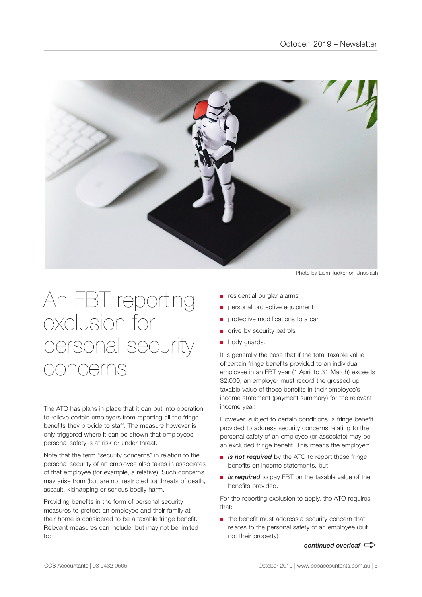

# An FBT reporting exclusion for personal security concerns

The ATO has plans in place that it can put into operation to relieve certain employers from reporting all the fringe benefits they provide to staff. The measure however is only triggered where it can be shown that employees' personal safety is at risk or under threat.

Note that the term "security concerns" in relation to the personal security of an employee also takes in associates of that employee (for example, a relative). Such concerns may arise from (but are not restricted to) threats of death, assault, kidnapping or serious bodily harm.

Providing benefits in the form of personal security measures to protect an employee and their family at their home is considered to be a taxable fringe benefit. Relevant measures can include, but may not be limited to:

Photo by Liam Tucker on Unsplash

- residential burglar alarms
- personal protective equipment
- protective modifications to a car
- drive-by security patrols
- body guards.

It is generally the case that if the total taxable value of certain fringe benefits provided to an individual employee in an FBT year (1 April to 31 March) exceeds \$2,000, an employer must record the grossed-up taxable value of those benefits in their employee's income statement (payment summary) for the relevant income year.

However, subject to certain conditions, a fringe benefit provided to address security concerns relating to the personal safety of an employee (or associate) may be an excluded fringe benefit. This means the employer:

- *is not required* by the ATO to report these fringe benefits on income statements, but
- *is required* to pay FBT on the taxable value of the benefits provided.

For the reporting exclusion to apply, the ATO requires that:

■ the benefit must address a security concern that relates to the personal safety of an employee (but not their property)

*continued overleaf*  $\Rightarrow$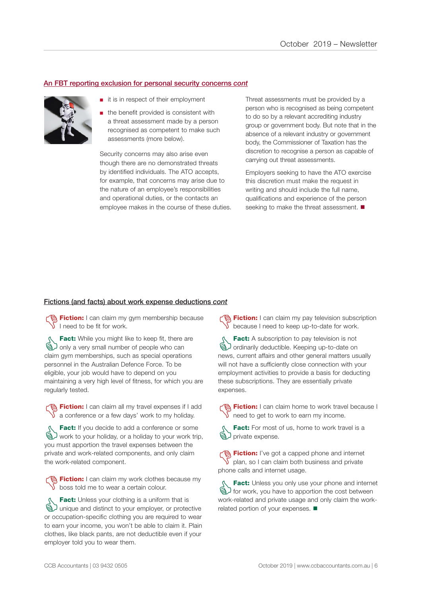### An FBT reporting exclusion for personal security concerns *cont*



- it is in respect of their employment
- the benefit provided is consistent with a threat assessment made by a person recognised as competent to make such assessments (more below).

Security concerns may also arise even though there are no demonstrated threats by identified individuals. The ATO accepts, for example, that concerns may arise due to the nature of an employee's responsibilities and operational duties, or the contacts an employee makes in the course of these duties. Threat assessments must be provided by a person who is recognised as being competent to do so by a relevant accrediting industry group or government body. But note that in the absence of a relevant industry or government body, the Commissioner of Taxation has the discretion to recognise a person as capable of carrying out threat assessments.

Employers seeking to have the ATO exercise this discretion must make the request in writing and should include the full name, qualifications and experience of the person seeking to make the threat assessment.  $\blacksquare$ 

#### Fictions (and facts) about work expense deductions *cont*

**The Fiction:** I can claim my gym membership because I need to be fit for work.

**Fact:** While you might like to keep fit, there are<br>
and only a very small number of people who can<br>
claim own memberships such as special operations only a very small number of people who can claim gym memberships, such as special operations personnel in the Australian Defence Force. To be eligible, your job would have to depend on you maintaining a very high level of fitness, for which you are regularly tested.

**Fiction:** I can claim all my travel expenses if I add  $\sqrt{\ }$  a conference or a few days' work to my holiday.

**Fact:** If you decide to add a conference or some<br>  $\bigotimes$  work to your holiday, or a holiday to your work trip<br>
you must apportion the travel expenses between the work to your holiday, or a holiday to your work trip, you must apportion the travel expenses between the private and work-related components, and only claim the work-related component.

Fiction: I can claim my work clothes because my  $\sqrt{\ }$  boss told me to wear a certain colour.

**Fact:** Unless your clothing is a uniform that is<br>
a unique and distinct to your employer, or protection<br>
or occupation-specific clothing you are required to your unique and distinct to your employer, or protective or occupation-specific clothing you are required to wear to earn your income, you won't be able to claim it. Plain clothes, like black pants, are not deductible even if your employer told you to wear them.

**Fiction:** I can claim my pay television subscription because I need to keep up-to-date for work.

**Fact:** A subscription to pay television is not<br> **G** ordinarily deductible. Keeping up-to-date on<br>
news current affairs and other general matters us ordinarily deductible. Keeping up-to-date on news, current affairs and other general matters usually will not have a sufficiently close connection with your employment activities to provide a basis for deducting these subscriptions. They are essentially private expenses.

Fiction: I can claim home to work travel because I  $\sqrt{\ }$  need to get to work to earn my income.

Fact: For most of us, home to work travel is a brivate expense.

**Fiction:** I've got a capped phone and internet plan, so I can claim both business and private phone calls and internet usage.

**Fact:** Unless you only use your phone and internet<br>  $\bigotimes$  for work, you have to apportion the cost between<br>
Work-related and private usage and only claim the workfor work, you have to apportion the cost between work-related and private usage and only claim the workrelated portion of your expenses.  $\blacksquare$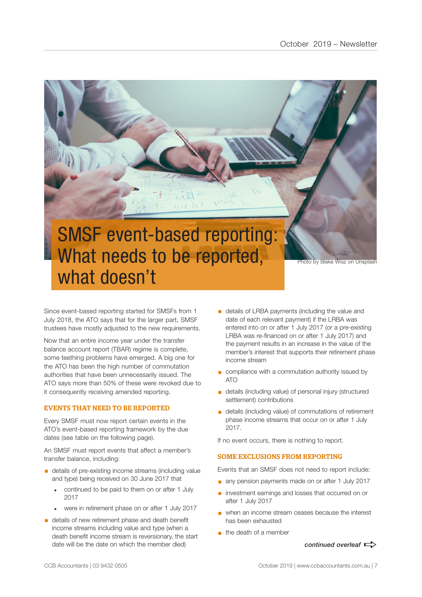

Since event-based reporting started for SMSFs from 1 July 2018, the ATO says that for the larger part, SMSF trustees have mostly adjusted to the new requirements.

Now that an entire income year under the transfer balance account report (TBAR) regime is complete, some teething problems have emerged. A big one for the ATO has been the high number of commutation authorities that have been unnecessarily issued. The ATO says more than 50% of these were revoked due to it consequently receiving amended reporting.

### EVENTS THAT NEED TO BE REPORTED

Every SMSF must now report certain events in the ATO's event-based reporting framework by the due dates (see table on the following page).

An SMSF must report events that affect a member's transfer balance, including:

- details of pre-existing income streams (including value and type) being received on 30 June 2017 that
	- continued to be paid to them on or after 1 July 2017
	- were in retirement phase on or after 1 July 2017
- details of new retirement phase and death benefit income streams including value and type (when a death benefit income stream is reversionary, the start date will be the date on which the member died)
- **•** details of LRBA payments (including the value and date of each relevant payment) if the LRBA was entered into on or after 1 July 2017 (or a pre-existing LRBA was re-financed on or after 1 July 2017) and the payment results in an increase in the value of the member's interest that supports their retirement phase income stream
- compliance with a commutation authority issued by ATO
- details (including value) of personal injury (structured settlement) contributions
- details (including value) of commutations of retirement phase income streams that occur on or after 1 July 2017.

If no event occurs, there is nothing to report.

### SOME EXCLUSIONS FROM REPORTING

Events that an SMSF does not need to report include:

- any pension payments made on or after 1 July 2017
- investment earnings and losses that occurred on or after 1 July 2017
- when an income stream ceases because the interest has been exhausted
- $\blacksquare$  the death of a member

*continued overleaf*  $\Rightarrow$